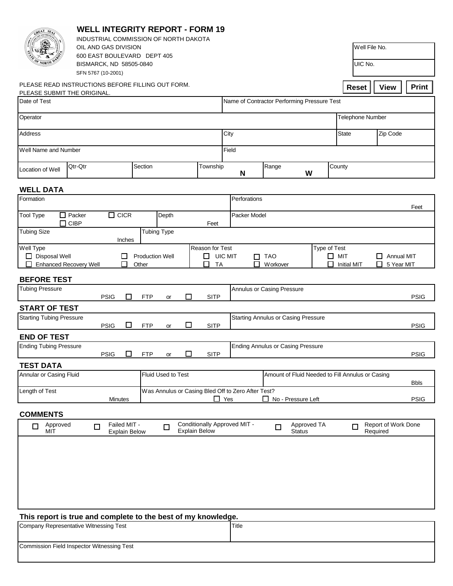| REAT<br>Sè.                                                                             | <b>WELL INTEGRITY REPORT - FORM 19</b><br>INDUSTRIAL COMMISSION OF NORTH DAKOTA |                                             |                        |                           |                      |                |                                                                          |                  |                                            |               |                         |               |                     |              |
|-----------------------------------------------------------------------------------------|---------------------------------------------------------------------------------|---------------------------------------------|------------------------|---------------------------|----------------------|----------------|--------------------------------------------------------------------------|------------------|--------------------------------------------|---------------|-------------------------|---------------|---------------------|--------------|
| OIL AND GAS DIVISION                                                                    |                                                                                 |                                             |                        |                           |                      |                |                                                                          |                  |                                            |               |                         | Well File No. |                     |              |
| 600 EAST BOULEVARD DEPT 405<br>BISMARCK, ND 58505-0840<br>SFN 5767 (10-2001)            |                                                                                 |                                             |                        |                           |                      |                |                                                                          | UIC No.          |                                            |               |                         |               |                     |              |
| PLEASE READ INSTRUCTIONS BEFORE FILLING OUT FORM.                                       |                                                                                 |                                             |                        |                           |                      |                |                                                                          |                  |                                            |               | <b>Reset</b>            |               | <b>View</b>         | <b>Print</b> |
| PLEASE SUBMIT THE ORIGINAL.<br>Date of Test                                             |                                                                                 |                                             |                        |                           |                      |                |                                                                          |                  |                                            |               |                         |               |                     |              |
|                                                                                         |                                                                                 | Name of Contractor Performing Pressure Test |                        |                           |                      |                |                                                                          |                  |                                            |               |                         |               |                     |              |
| Operator                                                                                |                                                                                 |                                             |                        |                           |                      |                |                                                                          |                  |                                            |               | <b>Telephone Number</b> |               |                     |              |
| <b>Address</b>                                                                          |                                                                                 |                                             |                        |                           |                      |                | City                                                                     |                  |                                            |               | State<br>Zip Code       |               |                     |              |
| Well Name and Number                                                                    |                                                                                 | Field                                       |                        |                           |                      |                |                                                                          |                  |                                            |               |                         |               |                     |              |
| Location of Well                                                                        | Qtr-Qtr                                                                         |                                             |                        | Section                   |                      |                | N                                                                        | Range            | W                                          | County        |                         |               |                     |              |
| <b>WELL DATA</b>                                                                        |                                                                                 |                                             |                        |                           |                      |                |                                                                          |                  |                                            |               |                         |               |                     |              |
| Formation                                                                               |                                                                                 | Perforations                                |                        |                           |                      |                |                                                                          |                  |                                            |               |                         |               |                     |              |
| $\Box$ CICR<br>$\Box$ Packer<br><b>Tool Type</b><br>Depth                               |                                                                                 |                                             |                        |                           |                      |                | Feet<br>Packer Model                                                     |                  |                                            |               |                         |               |                     |              |
| $\Box$ CIBP<br><b>Tubing Size</b>                                                       |                                                                                 |                                             | <b>Tubing Type</b>     |                           |                      | Feet           |                                                                          |                  |                                            |               |                         |               |                     |              |
| Well Type                                                                               |                                                                                 | Inches                                      |                        |                           | Reason for Test      |                |                                                                          |                  |                                            | Type of Test  |                         |               |                     |              |
| $\Box$ Disposal Well                                                                    |                                                                                 | □                                           | <b>Production Well</b> |                           |                      | $\Box$ UIC MIT |                                                                          | $\Box$ TAO       |                                            | $\square$ MIT |                         |               | $\Box$ Annual MIT   |              |
| <b>Enhanced Recovery Well</b>                                                           |                                                                                 | П                                           | Other                  |                           | ◻                    | <b>TA</b>      | П                                                                        | <b>W</b> orkover |                                            | П             | <b>Initial MIT</b>      |               | $\Box$ 5 Year MIT   |              |
| <b>BEFORE TEST</b>                                                                      |                                                                                 |                                             |                        |                           |                      |                |                                                                          |                  |                                            |               |                         |               |                     |              |
| <b>Tubing Pressure</b><br>П<br><b>SITP</b><br><b>PSIG</b><br>$\Box$<br><b>FTP</b><br>or |                                                                                 |                                             |                        |                           |                      |                | Annulus or Casing Pressure<br><b>PSIG</b>                                |                  |                                            |               |                         |               |                     |              |
| <b>START OF TEST</b>                                                                    |                                                                                 |                                             |                        |                           |                      |                |                                                                          |                  |                                            |               |                         |               |                     |              |
| <b>Starting Tubing Pressure</b>                                                         | <b>PSIG</b>                                                                     | □                                           | <b>FTP</b>             | or                        | □                    | <b>SITP</b>    |                                                                          |                  | <b>Starting Annulus or Casing Pressure</b> |               |                         |               |                     | <b>PSIG</b>  |
| <b>END OF TEST</b>                                                                      |                                                                                 |                                             |                        |                           |                      |                |                                                                          |                  |                                            |               |                         |               |                     |              |
| <b>Ending Tubing Pressure</b><br><b>PSIG</b><br>□                                       |                                                                                 |                                             | <b>FTP</b>             | □<br><b>SITP</b><br>or    |                      |                | <b>Ending Annulus or Casing Pressure</b>                                 |                  |                                            |               |                         |               |                     | <b>PSIG</b>  |
| <b>TEST DATA</b>                                                                        |                                                                                 |                                             |                        |                           |                      |                |                                                                          |                  |                                            |               |                         |               |                     |              |
| Annular or Casing Fluid                                                                 |                                                                                 |                                             |                        | <b>Fluid Used to Test</b> |                      |                | Amount of Fluid Needed to Fill Annulus or Casing                         |                  |                                            |               | <b>Bbls</b>             |               |                     |              |
| Length of Test<br><b>Minutes</b>                                                        |                                                                                 |                                             |                        |                           |                      | $\Box$ Yes     | Was Annulus or Casing Bled Off to Zero After Test?<br>No - Pressure Left |                  |                                            |               |                         |               |                     | <b>PSIG</b>  |
| <b>COMMENTS</b>                                                                         |                                                                                 |                                             |                        |                           |                      |                |                                                                          |                  |                                            |               |                         |               |                     |              |
| Approved<br>□<br>MIT                                                                    | $\Box$                                                                          | Failed MIT -<br><b>Explain Below</b>        |                        | $\Box$                    | <b>Explain Below</b> |                | Conditionally Approved MIT -                                             | $\Box$           | Approved TA<br><b>Status</b>               |               | $\Box$                  | Required      | Report of Work Done |              |
|                                                                                         |                                                                                 |                                             |                        |                           |                      |                |                                                                          |                  |                                            |               |                         |               |                     |              |
|                                                                                         |                                                                                 |                                             |                        |                           |                      |                |                                                                          |                  |                                            |               |                         |               |                     |              |
|                                                                                         |                                                                                 |                                             |                        |                           |                      |                |                                                                          |                  |                                            |               |                         |               |                     |              |
|                                                                                         |                                                                                 |                                             |                        |                           |                      |                |                                                                          |                  |                                            |               |                         |               |                     |              |
|                                                                                         |                                                                                 |                                             |                        |                           |                      |                |                                                                          |                  |                                            |               |                         |               |                     |              |
|                                                                                         |                                                                                 |                                             |                        |                           |                      |                |                                                                          |                  |                                            |               |                         |               |                     |              |
| This report is true and complete to the best of my knowledge.                           |                                                                                 |                                             |                        |                           |                      |                |                                                                          |                  |                                            |               |                         |               |                     |              |

| Company Representative Witnessing Test            | <b>Title</b> |
|---------------------------------------------------|--------------|
| <b>Commission Field Inspector Witnessing Test</b> |              |